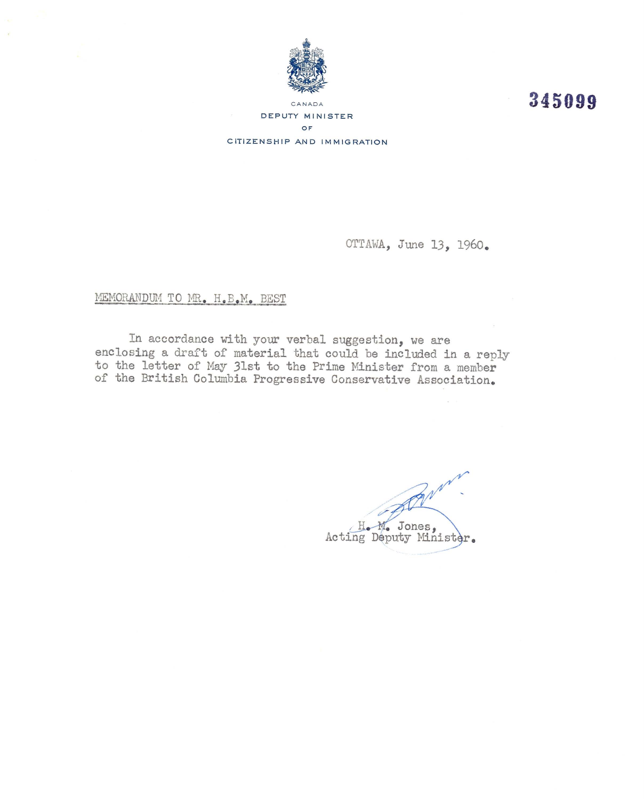

345099

DEPUTY MINISTER OF CITIZENSHIP AND IMMIGRATION

OTTAWA, June 13, 1960.

## MEMORANDUM TO MR. H.B.M. BEST

In accordance with your verbal suggestion, we are enclosing a draft of material that could be included in a reply to the letter of May 31st to the Prime Minister from a member<br>of the British Columbia Progressive Conservative Association.

Bring H. M. Jones,<br>Acting Deputy Minister.